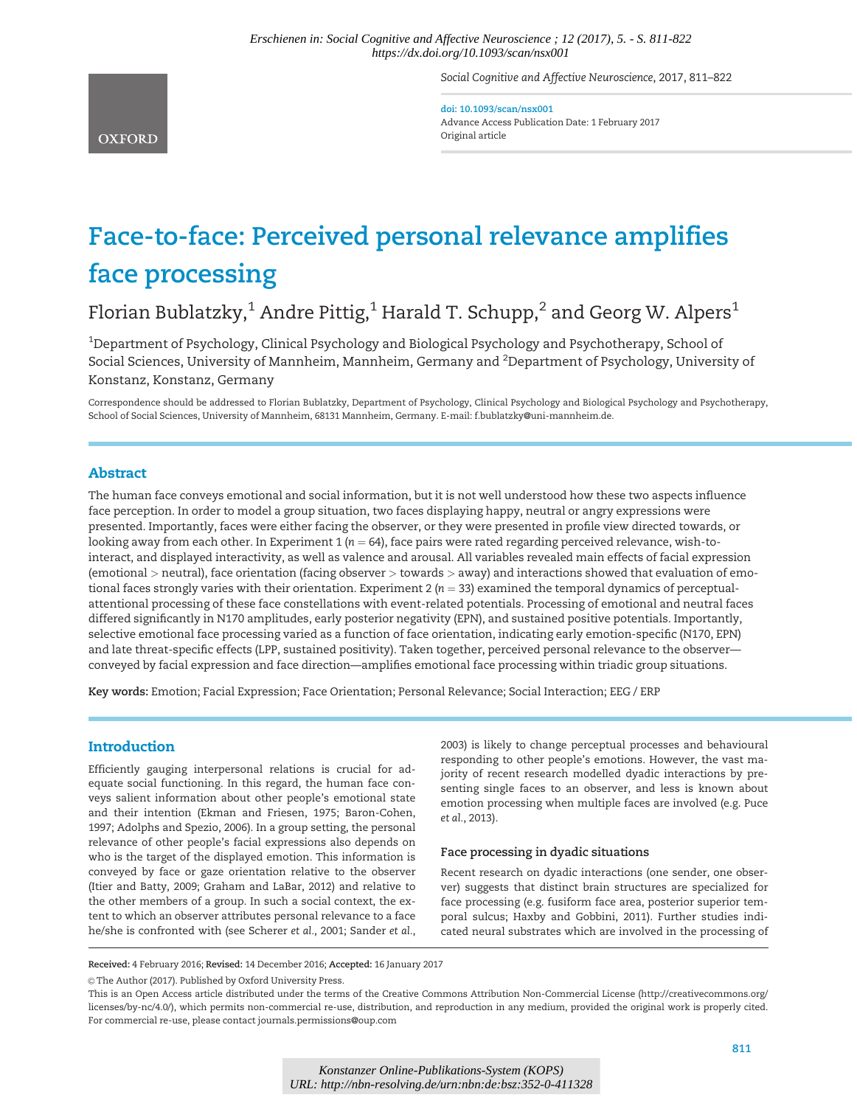Social Cognitive and Affective Neuroscience, 2017, 811–822

doi: 10.1093/scan/nsx001 Advance Access Publication Date: 1 February 2017 Original article

# Face-to-face: Perceived personal relevance amplifies face processing

Florian Bublatzky,<sup>1</sup> Andre Pittig,<sup>1</sup> Harald T. Schupp,<sup>2</sup> and Georg W. Alpers<sup>1</sup>

 $^{\rm 1}$ Department of Psychology, Clinical Psychology and Biological Psychology and Psychotherapy, School of Social Sciences, University of Mannheim, Mannheim, Germany and <sup>2</sup>Department of Psychology, University of Konstanz, Konstanz, Germany

Correspondence should be addressed to Florian Bublatzky, Department of Psychology, Clinical Psychology and Biological Psychology and Psychotherapy, School of Social Sciences, University of Mannheim, 68131 Mannheim, Germany. E-mail: f.bublatzky@uni-mannheim.de.

# Abstract

The human face conveys emotional and social information, but it is not well understood how these two aspects influence face perception. In order to model a group situation, two faces displaying happy, neutral or angry expressions were presented. Importantly, faces were either facing the observer, or they were presented in profile view directed towards, or looking away from each other. In Experiment 1 ( $n = 64$ ), face pairs were rated regarding perceived relevance, wish-tointeract, and displayed interactivity, as well as valence and arousal. All variables revealed main effects of facial expression (emotional > neutral), face orientation (facing observer > towards > away) and interactions showed that evaluation of emotional faces strongly varies with their orientation. Experiment 2 ( $n = 33$ ) examined the temporal dynamics of perceptualattentional processing of these face constellations with event-related potentials. Processing of emotional and neutral faces differed significantly in N170 amplitudes, early posterior negativity (EPN), and sustained positive potentials. Importantly, selective emotional face processing varied as a function of face orientation, indicating early emotion-specific (N170, EPN) and late threat-specific effects (LPP, sustained positivity). Taken together, perceived personal relevance to the observer conveyed by facial expression and face direction—amplifies emotional face processing within triadic group situations.

Key words: Emotion; Facial Expression; Face Orientation; Personal Relevance; Social Interaction; EEG / ERP

# Introduction

Efficiently gauging interpersonal relations is crucial for adequate social functioning. In this regard, the human face conveys salient information about other people's emotional state and their intention [\(Ekman and Friesen, 1975; Baron-Cohen,](#page-9-0) [1997;](#page-9-0) Adolphs and Spezio, 2006). In a group setting, the personal relevance of other people's facial expressions also depends on who is the target of the displayed emotion. This information is conveyed by face or gaze orientation relative to the observer [\(Itier and Batty, 2009; Graham and LaBar, 2012](#page-9-0)) and relative to the other members of a group. In such a social context, the extent to which an observer attributes personal relevance to a face he/she is confronted with (see [Scherer](#page-10-0) et al., 2001; [Sander](#page-10-0) et al.,

[2003\)](#page-10-0) is likely to change perceptual processes and behavioural responding to other people's emotions. However, the vast majority of recent research modelled dyadic interactions by presenting single faces to an observer, and less is known about emotion processing when multiple faces are involved (e.g. [Puce](#page-10-0) et al.[, 2013\)](#page-10-0).

### Face processing in dyadic situations

Recent research on dyadic interactions (one sender, one observer) suggests that distinct brain structures are specialized for face processing (e.g. fusiform face area, posterior superior temporal sulcus; [Haxby and Gobbini, 2011](#page-9-0)). Further studies indicated neural substrates which are involved in the processing of

Received: 4 February 2016; Revised: 14 December 2016; Accepted: 16 January 2017

© The Author (2017). Published by Oxford University Press.

This is an Open Access article distributed under the terms of the Creative Commons Attribution Non-Commercial License (http://creativecommons.org/ licenses/by-nc/4.0/), which permits non-commercial re-use, distribution, and reproduction in any medium, provided the original work is properly cited. For commercial re-use, please contact journals.permissions@oup.com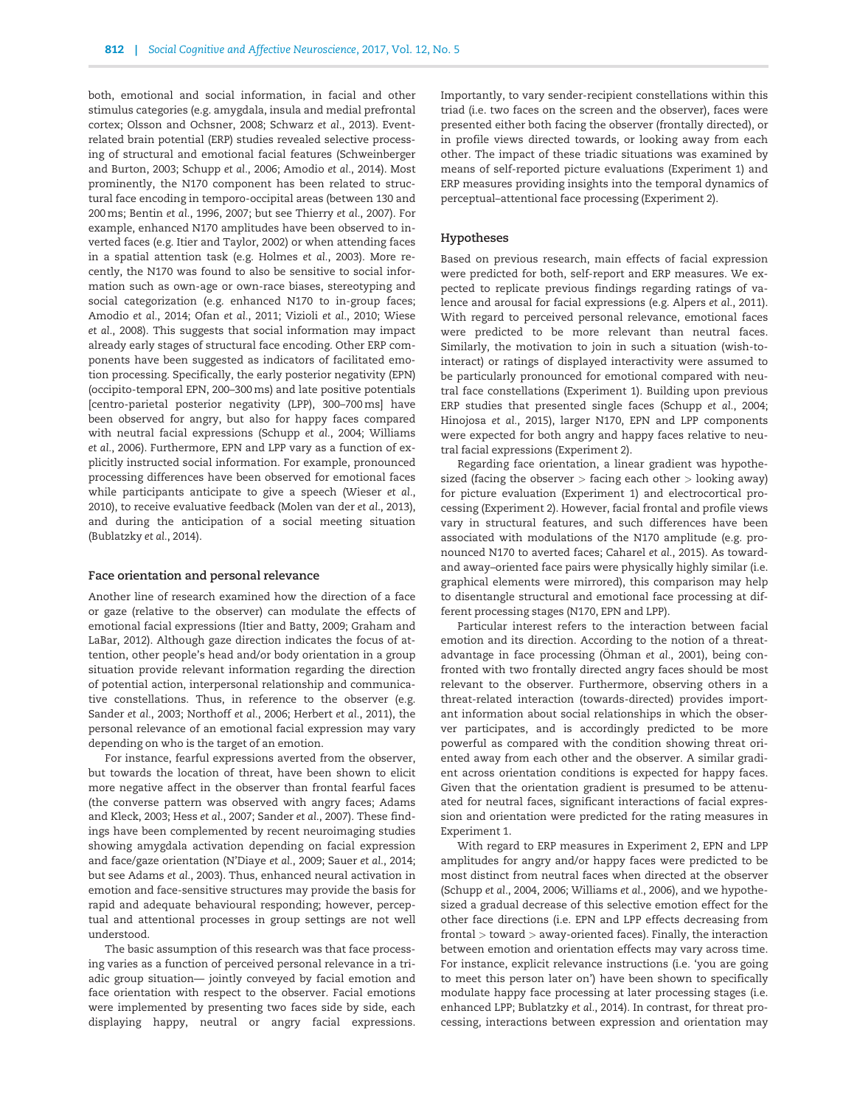both, emotional and social information, in facial and other stimulus categories (e.g. amygdala, insula and medial prefrontal cortex; [Olsson and Ochsner, 2008](#page-10-0); [Schwarz](#page-10-0) et al., 2013). Eventrelated brain potential (ERP) studies revealed selective processing of structural and emotional facial features ([Schweinberger](#page-11-0) [and Burton, 2003;](#page-11-0) [Schupp](#page-10-0) et al., 2006; [Amodio](#page-9-0) et al., 2014). Most prominently, the N170 component has been related to structural face encoding in temporo-occipital areas (between 130 and 200ms; [Bentin](#page-9-0) et al., 1996, [2007;](#page-9-0) but see [Thierry](#page-11-0) et al., 2007). For example, enhanced N170 amplitudes have been observed to inverted faces (e.g. [Itier and Taylor, 2002\)](#page-9-0) or when attending faces in a spatial attention task (e.g. [Holmes](#page-9-0) et al., 2003). More recently, the N170 was found to also be sensitive to social information such as own-age or own-race biases, stereotyping and social categorization (e.g. enhanced N170 to in-group faces; [Amodio](#page-9-0) et al., 2014; Ofan et al.[, 2011](#page-10-0); [Vizioli](#page-11-0) et al., 2010; [Wiese](#page-11-0) et al.[, 2008\)](#page-11-0). This suggests that social information may impact already early stages of structural face encoding. Other ERP components have been suggested as indicators of facilitated emotion processing. Specifically, the early posterior negativity (EPN) (occipito-temporal EPN, 200–300 ms) and late positive potentials [centro-parietal posterior negativity (LPP), 300–700ms] have been observed for angry, but also for happy faces compared with neutral facial expressions [\(Schupp](#page-10-0) et al., 2004; [Williams](#page-11-0) et al.[, 2006\)](#page-11-0). Furthermore, EPN and LPP vary as a function of explicitly instructed social information. For example, pronounced processing differences have been observed for emotional faces while participants anticipate to give a speech [\(Wieser](#page-11-0) et al., [2010\)](#page-11-0), to receive evaluative feedback (Molen van der et al., 2013), and during the anticipation of a social meeting situation [\(Bublatzky](#page-9-0) et al., 2014).

#### Face orientation and personal relevance

Another line of research examined how the direction of a face or gaze (relative to the observer) can modulate the effects of emotional facial expressions [\(Itier and Batty, 2009; Graham and](#page-9-0) [LaBar, 2012](#page-9-0)). Although gaze direction indicates the focus of attention, other people's head and/or body orientation in a group situation provide relevant information regarding the direction of potential action, interpersonal relationship and communicative constellations. Thus, in reference to the observer (e.g. [Sander](#page-10-0) et al., 2003; [Northoff](#page-10-0) et al., 2006; [Herbert](#page-9-0) et al., 2011), the personal relevance of an emotional facial expression may vary depending on who is the target of an emotion.

For instance, fearful expressions averted from the observer, but towards the location of threat, have been shown to elicit more negative affect in the observer than frontal fearful faces (the converse pattern was observed with angry faces; [Adams](#page-9-0) [and Kleck, 2003;](#page-9-0) Hess et al.[, 2007](#page-9-0); [Sander](#page-10-0) et al., 2007). These findings have been complemented by recent neuroimaging studies showing amygdala activation depending on facial expression and face/gaze orientation ([N'Diaye](#page-10-0) et al., 2009; Sauer et al.[, 2014](#page-10-0); but see [Adams](#page-9-0) et al., 2003). Thus, enhanced neural activation in emotion and face-sensitive structures may provide the basis for rapid and adequate behavioural responding; however, perceptual and attentional processes in group settings are not well understood.

The basic assumption of this research was that face processing varies as a function of perceived personal relevance in a triadic group situation— jointly conveyed by facial emotion and face orientation with respect to the observer. Facial emotions were implemented by presenting two faces side by side, each displaying happy, neutral or angry facial expressions.

Importantly, to vary sender-recipient constellations within this triad (i.e. two faces on the screen and the observer), faces were presented either both facing the observer (frontally directed), or in profile views directed towards, or looking away from each other. The impact of these triadic situations was examined by means of self-reported picture evaluations (Experiment 1) and ERP measures providing insights into the temporal dynamics of perceptual–attentional face processing (Experiment 2).

#### Hypotheses

Based on previous research, main effects of facial expression were predicted for both, self-report and ERP measures. We expected to replicate previous findings regarding ratings of valence and arousal for facial expressions (e.g. [Alpers](#page-9-0) et al., 2011). With regard to perceived personal relevance, emotional faces were predicted to be more relevant than neutral faces. Similarly, the motivation to join in such a situation (wish-tointeract) or ratings of displayed interactivity were assumed to be particularly pronounced for emotional compared with neutral face constellations (Experiment 1). Building upon previous ERP studies that presented single faces [\(Schupp](#page-10-0) et al., 2004; [Hinojosa](#page-9-0) et al., 2015), larger N170, EPN and LPP components were expected for both angry and happy faces relative to neutral facial expressions (Experiment 2).

Regarding face orientation, a linear gradient was hypothesized (facing the observer > facing each other > looking away) for picture evaluation (Experiment 1) and electrocortical processing (Experiment 2). However, facial frontal and profile views vary in structural features, and such differences have been associated with modulations of the N170 amplitude (e.g. pronounced N170 to averted faces; [Caharel](#page-9-0) et al., 2015). As towardand away–oriented face pairs were physically highly similar (i.e. graphical elements were mirrored), this comparison may help to disentangle structural and emotional face processing at different processing stages (N170, EPN and LPP).

Particular interest refers to the interaction between facial emotion and its direction. According to the notion of a threat-advantage in face processing (Öhman et al.[, 2001\)](#page-10-0), being confronted with two frontally directed angry faces should be most relevant to the observer. Furthermore, observing others in a threat-related interaction (towards-directed) provides important information about social relationships in which the observer participates, and is accordingly predicted to be more powerful as compared with the condition showing threat oriented away from each other and the observer. A similar gradient across orientation conditions is expected for happy faces. Given that the orientation gradient is presumed to be attenuated for neutral faces, significant interactions of facial expression and orientation were predicted for the rating measures in Experiment 1.

With regard to ERP measures in Experiment 2, EPN and LPP amplitudes for angry and/or happy faces were predicted to be most distinct from neutral faces when directed at the observer [\(Schupp](#page-10-0) et al., 2004, [2006;](#page-10-0) [Williams](#page-11-0) et al., 2006), and we hypothesized a gradual decrease of this selective emotion effect for the other face directions (i.e. EPN and LPP effects decreasing from frontal > toward > away-oriented faces). Finally, the interaction between emotion and orientation effects may vary across time. For instance, explicit relevance instructions (i.e. 'you are going to meet this person later on') have been shown to specifically modulate happy face processing at later processing stages (i.e. enhanced LPP; [Bublatzky](#page-9-0) et al., 2014). In contrast, for threat processing, interactions between expression and orientation may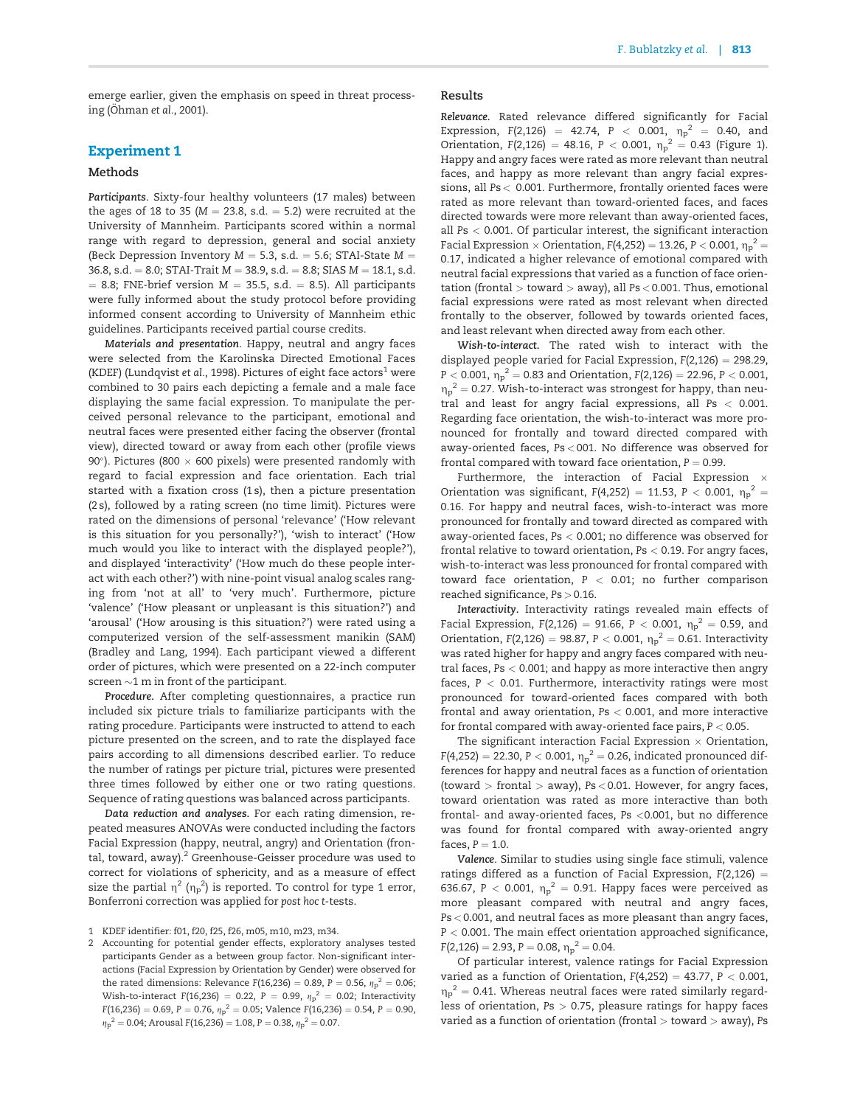emerge earlier, given the emphasis on speed in threat process $ing$  ([Ohman](#page-10-0) et al., 2001).

# Experiment 1

## Methods

Participants. Sixty-four healthy volunteers (17 males) between the ages of 18 to 35 ( $M = 23.8$ , s.d.  $= 5.2$ ) were recruited at the University of Mannheim. Participants scored within a normal range with regard to depression, general and social anxiety (Beck Depression Inventory  $M = 5.3$ , s.d.  $= 5.6$ ; STAI-State  $M =$ 36.8, s.d. = 8.0; STAI-Trait  $M = 38.9$ , s.d. = 8.8; SIAS  $M = 18.1$ , s.d.  $= 8.8$ ; FNE-brief version  $M = 35.5$ , s.d.  $= 8.5$ ). All participants were fully informed about the study protocol before providing informed consent according to University of Mannheim ethic guidelines. Participants received partial course credits.

Materials and presentation. Happy, neutral and angry faces were selected from the Karolinska Directed Emotional Faces (KDEF) ([Lundqvist](#page-10-0) et al., 1998). Pictures of eight face actors<sup>1</sup> were combined to 30 pairs each depicting a female and a male face displaying the same facial expression. To manipulate the perceived personal relevance to the participant, emotional and neutral faces were presented either facing the observer (frontal view), directed toward or away from each other (profile views 90°). Pictures (800  $\times$  600 pixels) were presented randomly with regard to facial expression and face orientation. Each trial started with a fixation cross (1 s), then a picture presentation (2 s), followed by a rating screen (no time limit). Pictures were rated on the dimensions of personal 'relevance' ('How relevant is this situation for you personally?'), 'wish to interact' ('How much would you like to interact with the displayed people?'), and displayed 'interactivity' ('How much do these people interact with each other?') with nine-point visual analog scales ranging from 'not at all' to 'very much'. Furthermore, picture 'valence' ('How pleasant or unpleasant is this situation?') and 'arousal' ('How arousing is this situation?') were rated using a computerized version of the self-assessment manikin (SAM) [\(Bradley and Lang, 1994](#page-9-0)). Each participant viewed a different order of pictures, which were presented on a 22-inch computer screen  $\sim$ 1 m in front of the participant.

Procedure. After completing questionnaires, a practice run included six picture trials to familiarize participants with the rating procedure. Participants were instructed to attend to each picture presented on the screen, and to rate the displayed face pairs according to all dimensions described earlier. To reduce the number of ratings per picture trial, pictures were presented three times followed by either one or two rating questions. Sequence of rating questions was balanced across participants.

Data reduction and analyses. For each rating dimension, repeated measures ANOVAs were conducted including the factors Facial Expression (happy, neutral, angry) and Orientation (frontal, toward, away).<sup>2</sup> Greenhouse-Geisser procedure was used to correct for violations of sphericity, and as a measure of effect size the partial  $\eta^2$  ( $\eta_p^{}^2$ ) is reported. To control for type 1 error, Bonferroni correction was applied for post hoc t-tests.

2 Accounting for potential gender effects, exploratory analyses tested participants Gender as a between group factor. Non-significant interactions (Facial Expression by Orientation by Gender) were observed for the rated dimensions: Relevance F(16,236) = 0.89, P = 0.56,  ${\eta_{\rm p}}^2 =$  0.06; Wish-to-interact F(16,236)  $=$  0.22, P  $=$  0.99,  ${\eta}_{\rm p}^{\,2} =$  0.02; Interactivity F(16,236) = 0.69, P = 0.76,  ${\eta}_{\text{p}}^{\text{--}2}=$  0.05; Valence F(16,236) = 0.54, P = 0.90,  ${\eta_{\rm p}}^2$  = 0.04; Arousal F(16,236) = 1.08, P = 0.38,  ${\eta_{\rm p}}^2$  = 0.07.

#### Results

Relevance. Rated relevance differed significantly for Facial Expression, F(2,126) = 42.74, P < 0.001,  $\eta_p^2 = 0.40$ , and Orientation,  $F(2,126) = 48.16$ ,  $P < 0.001$ ,  $\eta_P^2 = 0.43$  [\(Figure 1\)](#page-3-0). Happy and angry faces were rated as more relevant than neutral faces, and happy as more relevant than angry facial expressions, all Ps < 0.001. Furthermore, frontally oriented faces were rated as more relevant than toward-oriented faces, and faces directed towards were more relevant than away-oriented faces, all Ps < 0.001. Of particular interest, the significant interaction Facial Expression  $\times$  Orientation, F(4,252) = 13.26, P  $<$  0.001,  ${\eta_p}^2$  = 0.17, indicated a higher relevance of emotional compared with neutral facial expressions that varied as a function of face orientation (frontal  $>$  toward  $>$  away), all Ps  $<$  0.001. Thus, emotional facial expressions were rated as most relevant when directed frontally to the observer, followed by towards oriented faces, and least relevant when directed away from each other.

Wish-to-interact. The rated wish to interact with the displayed people varied for Facial Expression,  $F(2,126) = 298.29$ , P  $<$  0.001,  ${\eta_p}^2 =$  0.83 and Orientation, F(2,126)  $=$  22.96, P  $<$  0.001,  $\eta_p^2$  = 0.27. Wish-to-interact was strongest for happy, than neutral and least for angry facial expressions, all Ps < 0.001. Regarding face orientation, the wish-to-interact was more pronounced for frontally and toward directed compared with away-oriented faces, Ps < 001. No difference was observed for frontal compared with toward face orientation,  $P = 0.99$ .

Furthermore, the interaction of Facial Expression  $\times$ Orientation was significant,  $F(4,252) = 11.53$ ,  $P < 0.001$ ,  $\eta_p^2 =$ 0.16. For happy and neutral faces, wish-to-interact was more pronounced for frontally and toward directed as compared with away-oriented faces, Ps < 0.001; no difference was observed for frontal relative to toward orientation, Ps < 0.19. For angry faces, wish-to-interact was less pronounced for frontal compared with toward face orientation, P < 0.01; no further comparison reached significance, Ps > 0.16.

Interactivity. Interactivity ratings revealed main effects of Facial Expression, F(2,126) = 91.66, P  $<$  0.001,  $\eta_{\rm p}^{\;\;2} =$  0.59, and Orientation, F(2,126) = 98.87, P < 0.001,  $\eta_p^2 = 0.61$ . Interactivity was rated higher for happy and angry faces compared with neutral faces, Ps < 0.001; and happy as more interactive then angry faces,  $P < 0.01$ . Furthermore, interactivity ratings were most pronounced for toward-oriented faces compared with both frontal and away orientation, Ps < 0.001, and more interactive for frontal compared with away-oriented face pairs,  $P < 0.05$ .

The significant interaction Facial Expression  $\times$  Orientation, F(4,252) = 22.30, P < 0.001,  $\eta_{\rm p}^{\rm -2}$  = 0.26, indicated pronounced differences for happy and neutral faces as a function of orientation (toward  $>$  frontal  $>$  away), Ps < 0.01. However, for angry faces, toward orientation was rated as more interactive than both frontal- and away-oriented faces, Ps <0.001, but no difference was found for frontal compared with away-oriented angry faces,  $P = 1.0$ .

Valence. Similar to studies using single face stimuli, valence ratings differed as a function of Facial Expression,  $F(2,126) =$ 636.67, P < 0.001,  $\eta_p^2 = 0.91$ . Happy faces were perceived as more pleasant compared with neutral and angry faces, Ps < 0.001, and neutral faces as more pleasant than angry faces,  $P < 0.001$ . The main effect orientation approached significance,  $F(2,126) = 2.93, P = 0.08, \eta_p^2 = 0.04.$ 

Of particular interest, valence ratings for Facial Expression varied as a function of Orientation,  $F(4,252) = 43.77$ ,  $P < 0.001$ ,  $\eta_p^2$  = 0.41. Whereas neutral faces were rated similarly regardless of orientation,  $Ps > 0.75$ , pleasure ratings for happy faces varied as a function of orientation (frontal  $>$  toward  $>$  away), Ps

<sup>1</sup> KDEF identifier: f01, f20, f25, f26, m05, m10, m23, m34.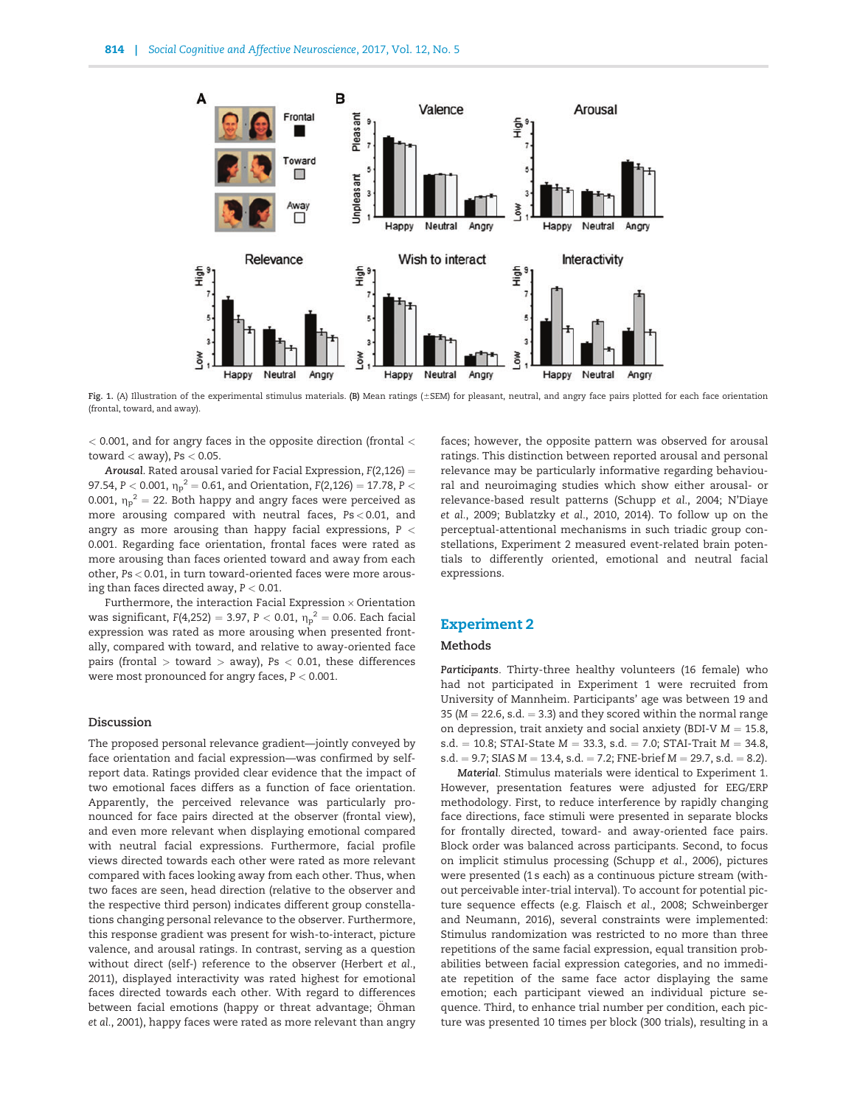<span id="page-3-0"></span>

Fig. 1. (A) Illustration of the experimental stimulus materials. (B) Mean ratings (±SEM) for pleasant, neutral, and angry face pairs plotted for each face orientation (frontal, toward, and away).

 $<$  0.001, and for angry faces in the opposite direction (frontal  $<$ toward  $<$  away), Ps  $<$  0.05.

Arousal. Rated arousal varied for Facial Expression,  $F(2,126) =$ 97.54, P  $<$  0.001,  ${\eta_{\rm p}}^2$   $=$  0.61, and Orientation, F(2,126)  $=$  17.78, P  $<$ 0.001,  ${\eta_{\rm p}}^2 =$  22. Both happy and angry faces were perceived as more arousing compared with neutral faces, Ps < 0.01, and angry as more arousing than happy facial expressions,  $P <$ 0.001. Regarding face orientation, frontal faces were rated as more arousing than faces oriented toward and away from each other, Ps < 0.01, in turn toward-oriented faces were more arousing than faces directed away,  $P < 0.01$ .

Furthermore, the interaction Facial Expression  $\times$  Orientation was significant, F(4,252) = 3.97, P  $<$  0.01,  ${\eta_{\rm p}}^2$  = 0.06. Each facial expression was rated as more arousing when presented frontally, compared with toward, and relative to away-oriented face pairs (frontal  $>$  toward  $>$  away), Ps  $<$  0.01, these differences were most pronounced for angry faces, P < 0.001.

## Discussion

The proposed personal relevance gradient—jointly conveyed by face orientation and facial expression—was confirmed by selfreport data. Ratings provided clear evidence that the impact of two emotional faces differs as a function of face orientation. Apparently, the perceived relevance was particularly pronounced for face pairs directed at the observer (frontal view), and even more relevant when displaying emotional compared with neutral facial expressions. Furthermore, facial profile views directed towards each other were rated as more relevant compared with faces looking away from each other. Thus, when two faces are seen, head direction (relative to the observer and the respective third person) indicates different group constellations changing personal relevance to the observer. Furthermore, this response gradient was present for wish-to-interact, picture valence, and arousal ratings. In contrast, serving as a question without direct (self-) reference to the observer [\(Herbert](#page-9-0) et al., [2011\)](#page-9-0), displayed interactivity was rated highest for emotional faces directed towards each other. With regard to differences between facial emotions (happy or threat advantage; [Ohman](#page-10-0) et al.[, 2001](#page-10-0)), happy faces were rated as more relevant than angry

faces; however, the opposite pattern was observed for arousal ratings. This distinction between reported arousal and personal relevance may be particularly informative regarding behavioural and neuroimaging studies which show either arousal- or relevance-based result patterns ([Schupp](#page-10-0) et al., 2004; [N'Diaye](#page-10-0) et al.[, 2009](#page-10-0); [Bublatzky](#page-9-0) et al., 2010, [2014](#page-9-0)). To follow up on the perceptual-attentional mechanisms in such triadic group constellations, Experiment 2 measured event-related brain potentials to differently oriented, emotional and neutral facial expressions.

# Experiment 2

#### Methods

Participants. Thirty-three healthy volunteers (16 female) who had not participated in Experiment 1 were recruited from University of Mannheim. Participants' age was between 19 and 35 ( $M = 22.6$ , s.d.  $= 3.3$ ) and they scored within the normal range on depression, trait anxiety and social anxiety (BDI-V  $M = 15.8$ , s.d. = 10.8; STAI-State  $M = 33.3$ , s.d. = 7.0; STAI-Trait  $M = 34.8$ ,  $s.d. = 9.7$ ; SIAS  $M = 13.4$ ,  $s.d. = 7.2$ ; FNE-brief  $M = 29.7$ ,  $s.d. = 8.2$ ).

Material. Stimulus materials were identical to Experiment 1. However, presentation features were adjusted for EEG/ERP methodology. First, to reduce interference by rapidly changing face directions, face stimuli were presented in separate blocks for frontally directed, toward- and away-oriented face pairs. Block order was balanced across participants. Second, to focus on implicit stimulus processing ([Schupp](#page-10-0) et al., 2006), pictures were presented (1 s each) as a continuous picture stream (without perceivable inter-trial interval). To account for potential picture sequence effects (e.g. [Flaisch](#page-9-0) et al., 2008; [Schweinberger](#page-11-0) [and Neumann, 2016](#page-11-0)), several constraints were implemented: Stimulus randomization was restricted to no more than three repetitions of the same facial expression, equal transition probabilities between facial expression categories, and no immediate repetition of the same face actor displaying the same emotion; each participant viewed an individual picture sequence. Third, to enhance trial number per condition, each picture was presented 10 times per block (300 trials), resulting in a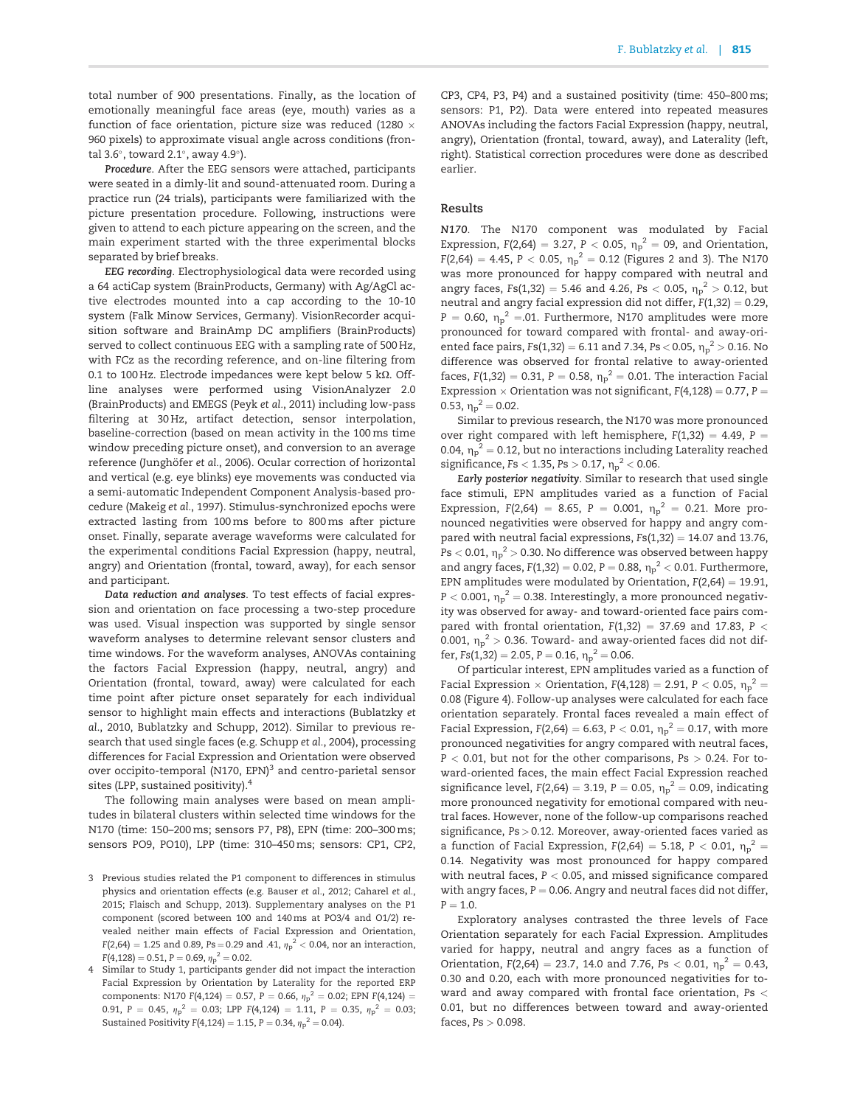total number of 900 presentations. Finally, as the location of emotionally meaningful face areas (eye, mouth) varies as a function of face orientation, picture size was reduced (1280  $\times$ 960 pixels) to approximate visual angle across conditions (frontal 3.6°, toward 2.1°, away 4.9°).

Procedure. After the EEG sensors were attached, participants were seated in a dimly-lit and sound-attenuated room. During a practice run (24 trials), participants were familiarized with the picture presentation procedure. Following, instructions were given to attend to each picture appearing on the screen, and the main experiment started with the three experimental blocks separated by brief breaks.

EEG recording. Electrophysiological data were recorded using a 64 actiCap system (BrainProducts, Germany) with Ag/AgCl active electrodes mounted into a cap according to the 10-10 system (Falk Minow Services, Germany). VisionRecorder acquisition software and BrainAmp DC amplifiers (BrainProducts) served to collect continuous EEG with a sampling rate of 500 Hz, with FCz as the recording reference, and on-line filtering from 0.1 to 100 Hz. Electrode impedances were kept below 5 k $\Omega$ . Offline analyses were performed using VisionAnalyzer 2.0 (BrainProducts) and EMEGS (Peyk et al.[, 2011](#page-10-0)) including low-pass filtering at 30 Hz, artifact detection, sensor interpolation, baseline-correction (based on mean activity in the 100 ms time window preceding picture onset), and conversion to an average reference (Junghöfer et al., 2006). Ocular correction of horizontal and vertical (e.g. eye blinks) eye movements was conducted via a semi-automatic Independent Component Analysis-based procedure [\(Makeig](#page-10-0) et al., 1997). Stimulus-synchronized epochs were extracted lasting from 100ms before to 800ms after picture onset. Finally, separate average waveforms were calculated for the experimental conditions Facial Expression (happy, neutral, angry) and Orientation (frontal, toward, away), for each sensor and participant.

Data reduction and analyses. To test effects of facial expression and orientation on face processing a two-step procedure was used. Visual inspection was supported by single sensor waveform analyses to determine relevant sensor clusters and time windows. For the waveform analyses, ANOVAs containing the factors Facial Expression (happy, neutral, angry) and Orientation (frontal, toward, away) were calculated for each time point after picture onset separately for each individual sensor to highlight main effects and interactions [\(Bublatzky](#page-9-0) et al[., 2010](#page-9-0), [Bublatzky and Schupp, 2012](#page-9-0)). Similar to previous research that used single faces (e.g. [Schupp](#page-10-0) et al., 2004), processing differences for Facial Expression and Orientation were observed over occipito-temporal (N170, EPN)<sup>3</sup> and centro-parietal sensor sites (LPP, sustained positivity).<sup>4</sup>

The following main analyses were based on mean amplitudes in bilateral clusters within selected time windows for the N170 (time: 150–200ms; sensors P7, P8), EPN (time: 200–300 ms; sensors PO9, PO10), LPP (time: 310–450 ms; sensors: CP1, CP2,

- 3 Previous studies related the P1 component to differences in stimulus physics and orientation effects (e.g. [Bauser](#page-9-0) et al., 2012; [Caharel](#page-9-0) et al., [2015; Flaisch and Schupp, 2013\).](#page-9-0) Supplementary analyses on the P1 component (scored between 100 and 140ms at PO3/4 and O1/2) revealed neither main effects of Facial Expression and Orientation, F(2,64)  $= 1.25$  and 0.89, Ps  $=$  0.29 and .41,  ${\eta}_{\rm p}^{\rm -2}$   $<$  0.04, nor an interaction,  $F(4, 128) = 0.51, P = 0.69, \eta_p^2 = 0.02.$
- Similar to Study 1, participants gender did not impact the interaction Facial Expression by Orientation by Laterality for the reported ERP components: N170 F(4,124) = 0.57, P = 0.66,  ${\eta_{\rm P}}^2 =$  0.02; EPN F(4,124) = 0.91, P = 0.45,  ${\eta_P}^2$  = 0.03; LPP F(4,124) = 1.11, P = 0.35,  ${\eta_P}^2$  = 0.03; Sustained Positivity F(4,124) = 1.15, P = 0.34,  ${\eta_{\rm p}}^2$  = 0.04).

CP3, CP4, P3, P4) and a sustained positivity (time: 450–800 ms; sensors: P1, P2). Data were entered into repeated measures ANOVAs including the factors Facial Expression (happy, neutral, angry), Orientation (frontal, toward, away), and Laterality (left, right). Statistical correction procedures were done as described earlier.

#### Results

N170. The N170 component was modulated by Facial Expression,  $F(2,64) = 3.27$ ,  $P < 0.05$ ,  $\eta_p^2 = 09$ , and Orientation, F(2,64) = 4.45, P  $<$  0.05,  $\eta_{\rm p}^{\rm -2}$  = 0.12 [\(Figures 2](#page-5-0) and [3](#page-6-0)). The N170 was more pronounced for happy compared with neutral and angry faces, Fs(1,32) = 5.46 and 4.26, Ps  $<$  0.05,  $\eta_{\rm p}^{\rm 2}$   $>$  0.12, but neutral and angry facial expression did not differ,  $F(1,32) = 0.29$ ,  $P = 0.60$ ,  $\eta_p^2 = 0.01$ . Furthermore, N170 amplitudes were more pronounced for toward compared with frontal- and away-oriented face pairs, Fs(1,32) = 6.11 and 7.34, Ps < 0.05,  ${\eta_P}^2$   $>$  0.16. No difference was observed for frontal relative to away-oriented faces,  $F(1,32) = 0.31$ ,  $P = 0.58$ ,  $\eta_p^2 = 0.01$ . The interaction Facial Expression  $\times$  Orientation was not significant,  $F(4,128) = 0.77$ ,  $P =$ 0.53,  $\eta_p^2 = 0.02$ .

Similar to previous research, the N170 was more pronounced over right compared with left hemisphere,  $F(1,32) = 4.49$ , P = 0.04,  $\eta_p^2$  = 0.12, but no interactions including Laterality reached significance, Fs  $<$  1.35, Ps  $>$  0.17,  $\eta \mathrm{p}^2$   $<$  0.06.

Early posterior negativity. Similar to research that used single face stimuli, EPN amplitudes varied as a function of Facial Expression, F(2,64) = 8.65, P = 0.001,  $\eta_p^2 = 0.21$ . More pronounced negativities were observed for happy and angry compared with neutral facial expressions,  $Fs(1,32) = 14.07$  and 13.76, Ps  $<$  0.01,  $\rm \eta_p^{\,2}$   $>$  0.30. No difference was observed between happy and angry faces,  $F(1,32) = 0.02$ ,  $P = 0.88$ ,  $\eta_{p}^{2} < 0.01$ . Furthermore, EPN amplitudes were modulated by Orientation,  $F(2,64) = 19.91$ , P  $<$  0.001,  $\eta_p^{\;\;2}=$  0.38. Interestingly, a more pronounced negativity was observed for away- and toward-oriented face pairs compared with frontal orientation,  $F(1,32) = 37.69$  and 17.83, P < 0.001,  $\eta_p^2 >$  0.36. Toward- and away-oriented faces did not differ,  $Fs(1,32) = 2.05$ ,  $P = 0.16$ ,  $\eta_p^2 = 0.06$ .

Of particular interest, EPN amplitudes varied as a function of Facial Expression  $\times$  Orientation, F(4,128) = 2.91, P  $<$  0.05,  ${\eta_p}^2$  = 0.08 [\(Figure 4](#page-7-0)). Follow-up analyses were calculated for each face orientation separately. Frontal faces revealed a main effect of Facial Expression, F(2,64) = 6.63, P < 0.01,  $\eta_p^2 =$  0.17, with more pronounced negativities for angry compared with neutral faces,  $P < 0.01$ , but not for the other comparisons,  $Ps > 0.24$ . For toward-oriented faces, the main effect Facial Expression reached significance level,  $F(2,64) = 3.19$ ,  $P = 0.05$ ,  $\eta_p^2 = 0.09$ , indicating more pronounced negativity for emotional compared with neutral faces. However, none of the follow-up comparisons reached significance, Ps > 0.12. Moreover, away-oriented faces varied as a function of Facial Expression,  $F(2,64) = 5.18$ , P  $< 0.01$ ,  $\eta_p^2 =$ 0.14. Negativity was most pronounced for happy compared with neutral faces,  $P < 0.05$ , and missed significance compared with angry faces,  $P = 0.06$ . Angry and neutral faces did not differ,  $P = 1.0.$ 

Exploratory analyses contrasted the three levels of Face Orientation separately for each Facial Expression. Amplitudes varied for happy, neutral and angry faces as a function of Orientation,  $F(2,64) = 23.7$ , 14.0 and 7.76, Ps  $< 0.01$ ,  $\eta_p^2 = 0.43$ , 0.30 and 0.20, each with more pronounced negativities for toward and away compared with frontal face orientation, Ps < 0.01, but no differences between toward and away-oriented faces,  $Ps > 0.098$ .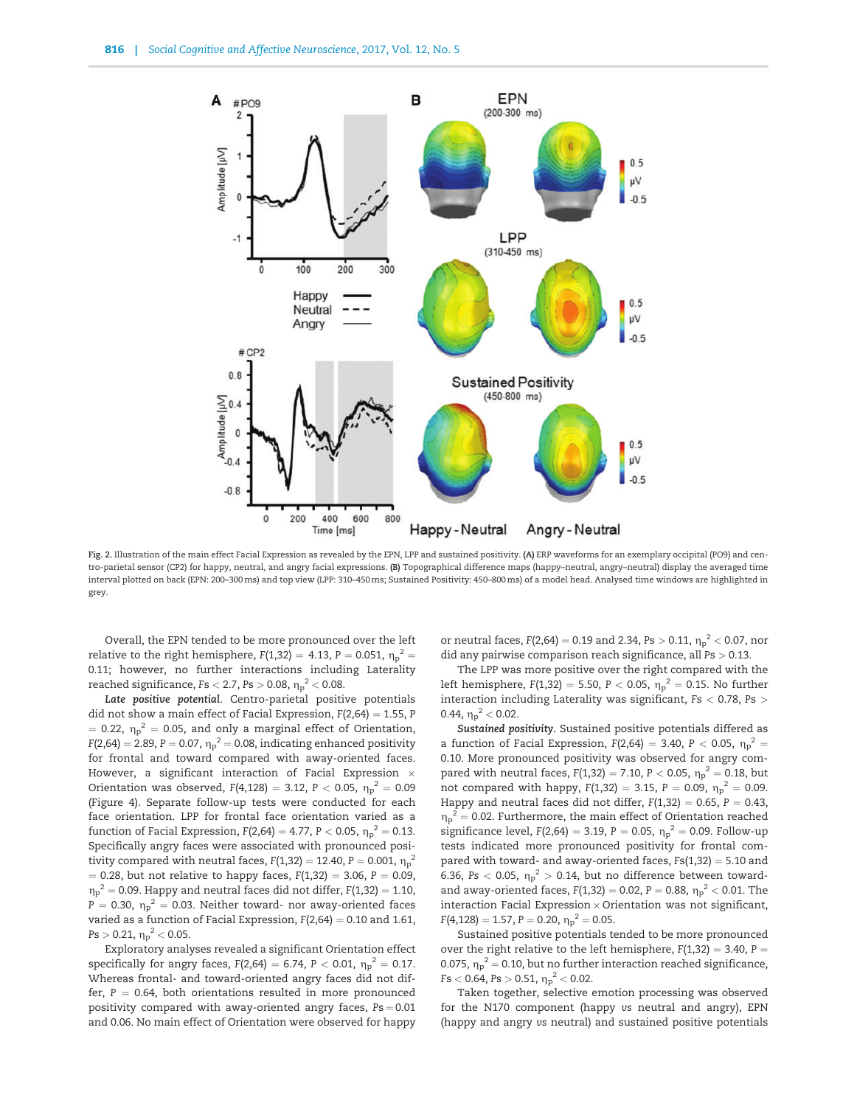<span id="page-5-0"></span>

Fig. 2. Illustration of the main effect Facial Expression as revealed by the EPN, LPP and sustained positivity. (A) ERP waveforms for an exemplary occipital (PO9) and centro-parietal sensor (CP2) for happy, neutral, and angry facial expressions. (B) Topographical difference maps (happy–neutral, angry–neutral) display the averaged time interval plotted on back (EPN: 200–300ms) and top view (LPP: 310–450ms; Sustained Positivity: 450–800ms) of a model head. Analysed time windows are highlighted in grey.

Overall, the EPN tended to be more pronounced over the left relative to the right hemisphere, F(1,32) = 4.13, P = 0.051,  ${\eta_{\rm p}}^2$  = 0.11; however, no further interactions including Laterality reached significance, Fs  $<$  2.7, Ps  $>$  0.08,  ${\rm \eta_p}^2$   $<$  0.08.

Late positive potential. Centro-parietal positive potentials did not show a main effect of Facial Expression,  $F(2,64) = 1.55$ , P  $=$  0.22,  ${\eta_p}^2 =$  0.05, and only a marginal effect of Orientation, F(2,64) = 2.89, P = 0.07,  ${\eta_p}^2$  = 0.08, indicating enhanced positivity for frontal and toward compared with away-oriented faces. However, a significant interaction of Facial Expression  $\times$ Orientation was observed, F(4,128) = 3.12, P  $<$  0.05,  $\eta_{\rm p}^{\rm \; 2} =$  0.09 [\(Figure 4](#page-7-0)). Separate follow-up tests were conducted for each face orientation. LPP for frontal face orientation varied as a function of Facial Expression, F(2,64) = 4.77, P  $<$  0.05,  ${\eta_p}^2 =$  0.13. Specifically angry faces were associated with pronounced positivity compared with neutral faces, F(1,32) = 12.40, P = 0.001,  ${\eta_P}^2$  $= 0.28$ , but not relative to happy faces,  $F(1,32) = 3.06$ ,  $P = 0.09$ ,  ${\eta_{\rm p}}^2$  = 0.09. Happy and neutral faces did not differ, F(1,32) = 1.10, P = 0.30,  $\eta_{\rm p}{}^2$  = 0.03. Neither toward- nor away-oriented faces varied as a function of Facial Expression,  $F(2,64) = 0.10$  and 1.61,  $\text{Ps} > 0.21, \, {\eta_\text{p}}^2 < 0.05.$ 

Exploratory analyses revealed a significant Orientation effect specifically for angry faces, F(2,64) = 6.74, P  $<$  0.01,  ${\eta_P}^2 =$  0.17. Whereas frontal- and toward-oriented angry faces did not differ,  $P = 0.64$ , both orientations resulted in more pronounced positivity compared with away-oriented angry faces,  $Ps = 0.01$ and 0.06. No main effect of Orientation were observed for happy

or neutral faces, F(2,64) = 0.19 and 2.34, Ps  $>$  0.11,  $\eta_{\rm p}{}^2$   $<$  0.07, nor did any pairwise comparison reach significance, all Ps > 0.13.

The LPP was more positive over the right compared with the left hemisphere, F(1,32) = 5.50, P  $<$  0.05,  $\eta_{\rm p}{}^2 =$  0.15. No further interaction including Laterality was significant, Fs < 0.78, Ps > 0.44,  $\eta_p^2 < 0.02$ .

Sustained positivity. Sustained positive potentials differed as a function of Facial Expression,  $F(2,64) = 3.40$ , P < 0.05,  $\eta_p^2 =$ 0.10. More pronounced positivity was observed for angry compared with neutral faces, F(1,32) = 7.10, P  $<$  0.05,  $\eta_{\rm p}^{\phantom{0}2}$  = 0.18, but not compared with happy,  $F(1,32) = 3.15$ ,  $P = 0.09$ ,  $\eta_p^2 = 0.09$ . Happy and neutral faces did not differ,  $F(1,32) = 0.65$ ,  $P = 0.43$ ,  $\eta_p^2$  = 0.02. Furthermore, the main effect of Orientation reached significance level,  $F(2,64) = 3.19$ ,  $P = 0.05$ ,  $\eta_p^2 = 0.09$ . Follow-up tests indicated more pronounced positivity for frontal compared with toward- and away-oriented faces,  $Fs(1,32) = 5.10$  and 6.36, Ps  $<$  0.05,  $\eta_p^2 >$  0.14, but no difference between towardand away-oriented faces,  $F(1,32) = 0.02$ ,  $P = 0.88$ ,  $\eta_{p}^{2} < 0.01$ . The interaction Facial Expression  $\times$  Orientation was not significant,  $F(4,128) = 1.57, P = 0.20, \eta_p^2 = 0.05.$ 

Sustained positive potentials tended to be more pronounced over the right relative to the left hemisphere,  $F(1,32) = 3.40$ ,  $P =$ 0.075,  $\eta_p^2$  = 0.10, but no further interaction reached significance,  $\text{Fs} < 0.64, \text{Ps} > 0.51, \, {\eta_\text{p}}^2 < 0.02.$ 

Taken together, selective emotion processing was observed for the N170 component (happy vs neutral and angry), EPN (happy and angry vs neutral) and sustained positive potentials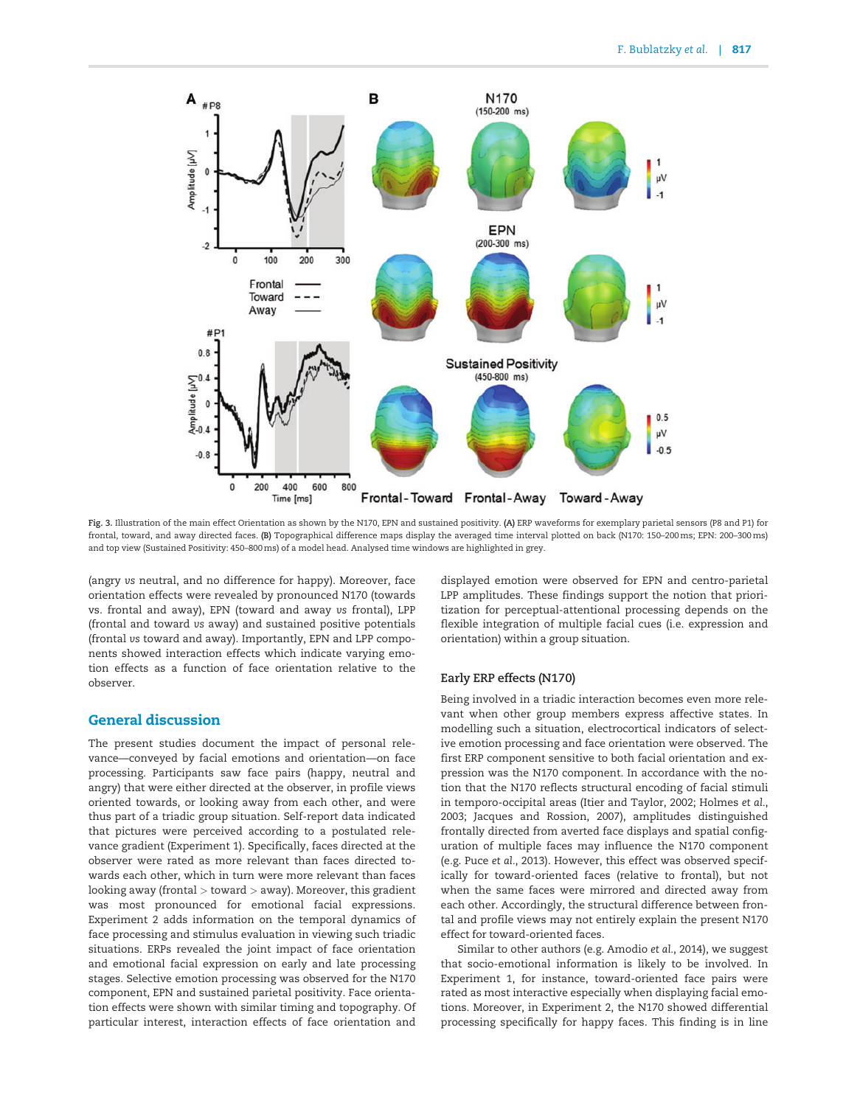<span id="page-6-0"></span>

Fig. 3. Illustration of the main effect Orientation as shown by the N170, EPN and sustained positivity. (A) ERP waveforms for exemplary parietal sensors (P8 and P1) for frontal, toward, and away directed faces. (B) Topographical difference maps display the averaged time interval plotted on back (N170: 150–200ms; EPN: 200–300ms) and top view (Sustained Positivity: 450–800ms) of a model head. Analysed time windows are highlighted in grey.

(angry vs neutral, and no difference for happy). Moreover, face orientation effects were revealed by pronounced N170 (towards vs. frontal and away), EPN (toward and away vs frontal), LPP (frontal and toward vs away) and sustained positive potentials (frontal vs toward and away). Importantly, EPN and LPP components showed interaction effects which indicate varying emotion effects as a function of face orientation relative to the observer.

# General discussion

The present studies document the impact of personal relevance—conveyed by facial emotions and orientation—on face processing. Participants saw face pairs (happy, neutral and angry) that were either directed at the observer, in profile views oriented towards, or looking away from each other, and were thus part of a triadic group situation. Self-report data indicated that pictures were perceived according to a postulated relevance gradient (Experiment 1). Specifically, faces directed at the observer were rated as more relevant than faces directed towards each other, which in turn were more relevant than faces looking away (frontal > toward > away). Moreover, this gradient was most pronounced for emotional facial expressions. Experiment 2 adds information on the temporal dynamics of face processing and stimulus evaluation in viewing such triadic situations. ERPs revealed the joint impact of face orientation and emotional facial expression on early and late processing stages. Selective emotion processing was observed for the N170 component, EPN and sustained parietal positivity. Face orientation effects were shown with similar timing and topography. Of particular interest, interaction effects of face orientation and

displayed emotion were observed for EPN and centro-parietal LPP amplitudes. These findings support the notion that prioritization for perceptual-attentional processing depends on the flexible integration of multiple facial cues (i.e. expression and orientation) within a group situation.

# Early ERP effects (N170)

Being involved in a triadic interaction becomes even more relevant when other group members express affective states. In modelling such a situation, electrocortical indicators of selective emotion processing and face orientation were observed. The first ERP component sensitive to both facial orientation and expression was the N170 component. In accordance with the notion that the N170 reflects structural encoding of facial stimuli in temporo-occipital areas [\(Itier and Taylor, 2002; Holmes](#page-9-0) et al., [2003; Jacques and Rossion, 2007](#page-9-0)), amplitudes distinguished frontally directed from averted face displays and spatial configuration of multiple faces may influence the N170 component (e.g. Puce et al.[, 2013](#page-10-0)). However, this effect was observed specifically for toward-oriented faces (relative to frontal), but not when the same faces were mirrored and directed away from each other. Accordingly, the structural difference between frontal and profile views may not entirely explain the present N170 effect for toward-oriented faces.

Similar to other authors (e.g. [Amodio](#page-9-0) et al., 2014), we suggest that socio-emotional information is likely to be involved. In Experiment 1, for instance, toward-oriented face pairs were rated as most interactive especially when displaying facial emotions. Moreover, in Experiment 2, the N170 showed differential processing specifically for happy faces. This finding is in line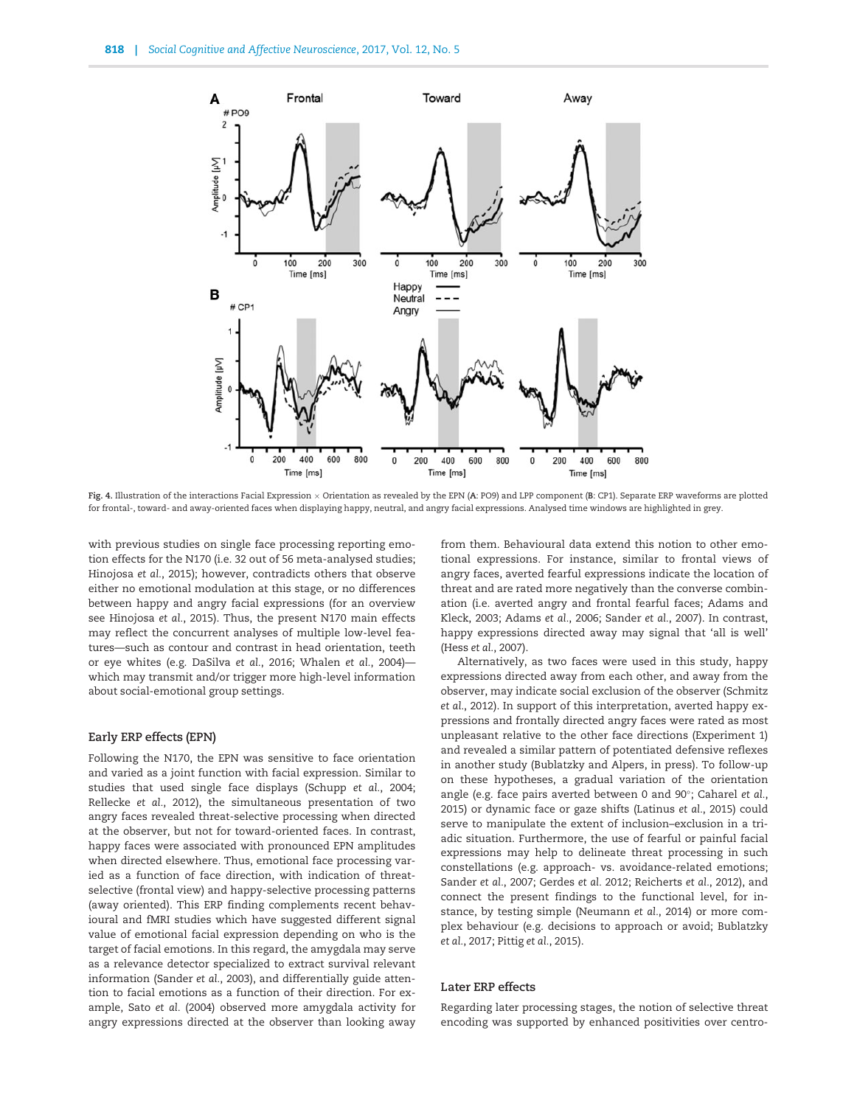<span id="page-7-0"></span>

Fig. 4. Illustration of the interactions Facial Expression x Orientation as revealed by the EPN (A: PO9) and LPP component (B: CP1). Separate ERP waveforms are plotted for frontal-, toward- and away-oriented faces when displaying happy, neutral, and angry facial expressions. Analysed time windows are highlighted in grey.

with previous studies on single face processing reporting emotion effects for the N170 (i.e. 32 out of 56 meta-analysed studies; [Hinojosa](#page-9-0) et al., 2015); however, contradicts others that observe either no emotional modulation at this stage, or no differences between happy and angry facial expressions (for an overview see [Hinojosa](#page-9-0) et al., 2015). Thus, the present N170 main effects may reflect the concurrent analyses of multiple low-level features—such as contour and contrast in head orientation, teeth or eye whites (e.g. [DaSilva](#page-9-0) et al., 2016; [Whalen](#page-11-0) et al., 2004) which may transmit and/or trigger more high-level information about social-emotional group settings.

## Early ERP effects (EPN)

Following the N170, the EPN was sensitive to face orientation and varied as a joint function with facial expression. Similar to studies that used single face displays [\(Schupp](#page-10-0) et al., 2004; [Rellecke](#page-10-0) et al., 2012), the simultaneous presentation of two angry faces revealed threat-selective processing when directed at the observer, but not for toward-oriented faces. In contrast, happy faces were associated with pronounced EPN amplitudes when directed elsewhere. Thus, emotional face processing varied as a function of face direction, with indication of threatselective (frontal view) and happy-selective processing patterns (away oriented). This ERP finding complements recent behavioural and fMRI studies which have suggested different signal value of emotional facial expression depending on who is the target of facial emotions. In this regard, the amygdala may serve as a relevance detector specialized to extract survival relevant information [\(Sander](#page-10-0) et al., 2003), and differentially guide attention to facial emotions as a function of their direction. For example, Sato et al. [\(2004\)](#page-10-0) observed more amygdala activity for angry expressions directed at the observer than looking away

from them. Behavioural data extend this notion to other emotional expressions. For instance, similar to frontal views of angry faces, averted fearful expressions indicate the location of threat and are rated more negatively than the converse combination (i.e. averted angry and frontal fearful faces; [Adams and](#page-9-0) [Kleck, 2003](#page-9-0); [Adams](#page-9-0) et al., 2006; [Sander](#page-10-0) et al., 2007). In contrast, happy expressions directed away may signal that 'all is well' (Hess et al.[, 2007](#page-9-0)).

Alternatively, as two faces were used in this study, happy expressions directed away from each other, and away from the observer, may indicate social exclusion of the observer [\(Schmitz](#page-10-0) et al.[, 2012\)](#page-10-0). In support of this interpretation, averted happy expressions and frontally directed angry faces were rated as most unpleasant relative to the other face directions (Experiment 1) and revealed a similar pattern of potentiated defensive reflexes in another study ([Bublatzky and Alpers, in press\)](#page-9-0). To follow-up on these hypotheses, a gradual variation of the orientation angle (e.g. face pairs averted between 0 and 90°; [Caharel](#page-9-0) et al., [2015\)](#page-9-0) or dynamic face or gaze shifts [\(Latinus](#page-10-0) et al., 2015) could serve to manipulate the extent of inclusion–exclusion in a triadic situation. Furthermore, the use of fearful or painful facial expressions may help to delineate threat processing in such constellations (e.g. approach- vs. avoidance-related emotions; [Sander](#page-10-0) et al., 2007; [Gerdes](#page-9-0) et al. 2012; [Reicherts](#page-10-0) et al., 2012), and connect the present findings to the functional level, for instance, by testing simple ([Neumann](#page-10-0) et al., 2014) or more complex behaviour (e.g. decisions to approach or avoid; [Bublatzky](#page-9-0) et al.[, 2017;](#page-9-0) Pittig et al.[, 2015](#page-10-0)).

## Later ERP effects

Regarding later processing stages, the notion of selective threat encoding was supported by enhanced positivities over centro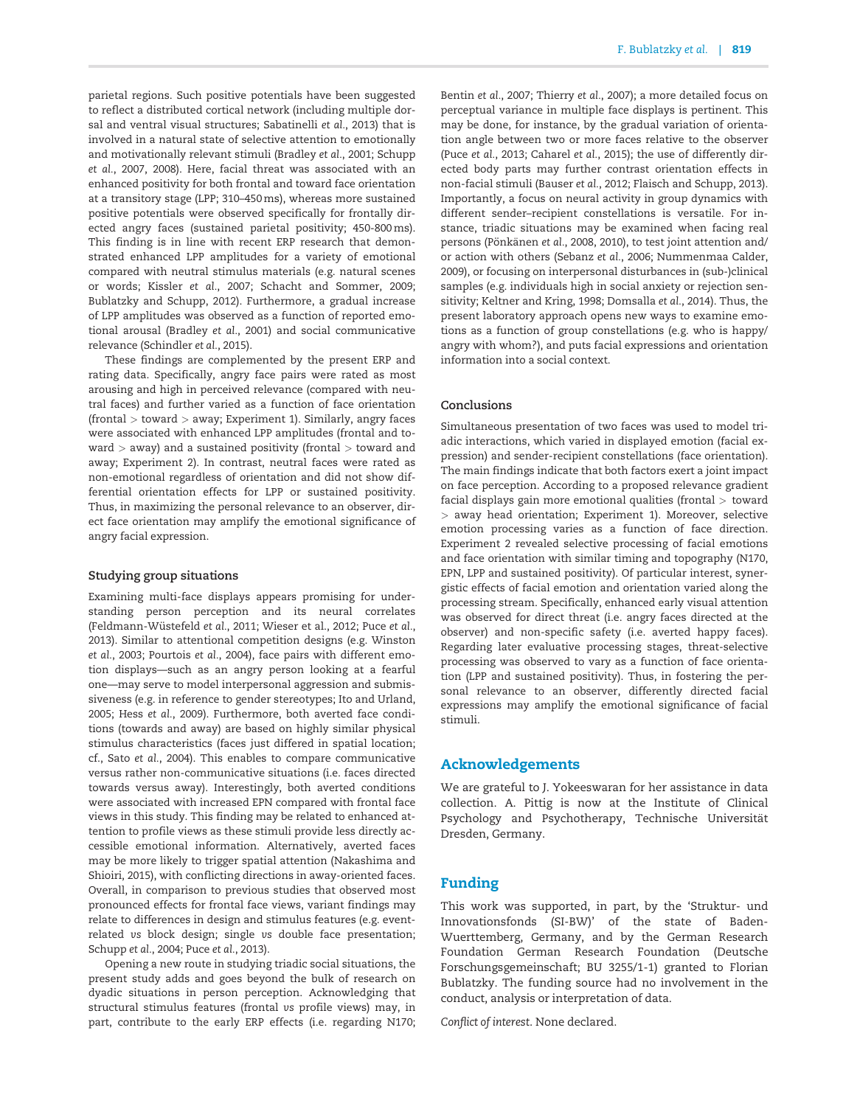parietal regions. Such positive potentials have been suggested to reflect a distributed cortical network (including multiple dorsal and ventral visual structures; [Sabatinelli](#page-10-0) et al., 2013) that is involved in a natural state of selective attention to emotionally and motivationally relevant stimuli [\(Bradley](#page-9-0) et al., 2001; [Schupp](#page-10-0) et al.[, 2007, 2008\)](#page-10-0). Here, facial threat was associated with an enhanced positivity for both frontal and toward face orientation at a transitory stage (LPP; 310–450ms), whereas more sustained positive potentials were observed specifically for frontally directed angry faces (sustained parietal positivity; 450-800 ms). This finding is in line with recent ERP research that demonstrated enhanced LPP amplitudes for a variety of emotional compared with neutral stimulus materials (e.g. natural scenes or words; [Kissler](#page-10-0) et al., 2007; [Schacht and Sommer, 2009](#page-10-0); [Bublatzky and Schupp, 2012\)](#page-9-0). Furthermore, a gradual increase of LPP amplitudes was observed as a function of reported emotional arousal ([Bradley](#page-9-0) et al., 2001) and social communicative relevance ([Schindler](#page-10-0) et al., 2015).

These findings are complemented by the present ERP and rating data. Specifically, angry face pairs were rated as most arousing and high in perceived relevance (compared with neutral faces) and further varied as a function of face orientation (frontal  $>$  toward  $>$  away; Experiment 1). Similarly, angry faces were associated with enhanced LPP amplitudes (frontal and to $ward > away$ ) and a sustained positivity (frontal  $>$  toward and away; Experiment 2). In contrast, neutral faces were rated as non-emotional regardless of orientation and did not show differential orientation effects for LPP or sustained positivity. Thus, in maximizing the personal relevance to an observer, direct face orientation may amplify the emotional significance of angry facial expression.

#### Studying group situations

Examining multi-face displays appears promising for understanding person perception and its neural correlates (Feldmann-Wüstefeld et al., 2011; [Wieser et al., 2012;](#page-9-0) [Puce](#page-10-0) et al., [2013\)](#page-10-0). Similar to attentional competition designs (e.g. [Winston](#page-11-0) et al.[, 2003;](#page-11-0) [Pourtois](#page-10-0) et al., 2004), face pairs with different emotion displays—such as an angry person looking at a fearful one—may serve to model interpersonal aggression and submissiveness (e.g. in reference to gender stereotypes; [Ito and Urland,](#page-9-0) [2005;](#page-9-0) Hess et al.[, 2009](#page-9-0)). Furthermore, both averted face conditions (towards and away) are based on highly similar physical stimulus characteristics (faces just differed in spatial location; cf., Sato et al.[, 2004\)](#page-10-0). This enables to compare communicative versus rather non-communicative situations (i.e. faces directed towards versus away). Interestingly, both averted conditions were associated with increased EPN compared with frontal face views in this study. This finding may be related to enhanced attention to profile views as these stimuli provide less directly accessible emotional information. Alternatively, averted faces may be more likely to trigger spatial attention ([Nakashima and](#page-10-0) [Shioiri, 2015\)](#page-10-0), with conflicting directions in away-oriented faces. Overall, in comparison to previous studies that observed most pronounced effects for frontal face views, variant findings may relate to differences in design and stimulus features (e.g. eventrelated vs block design; single vs double face presentation; [Schupp](#page-10-0) et al., 2004; Puce et al.[, 2013\)](#page-10-0).

Opening a new route in studying triadic social situations, the present study adds and goes beyond the bulk of research on dyadic situations in person perception. Acknowledging that structural stimulus features (frontal vs profile views) may, in part, contribute to the early ERP effects (i.e. regarding N170;

[Bentin](#page-9-0) et al., 2007; [Thierry](#page-11-0) et al., 2007); a more detailed focus on perceptual variance in multiple face displays is pertinent. This may be done, for instance, by the gradual variation of orientation angle between two or more faces relative to the observer (Puce et al.[, 2013](#page-10-0); [Caharel](#page-9-0) et al., 2015); the use of differently directed body parts may further contrast orientation effects in non-facial stimuli ([Bauser](#page-9-0) et al., 2012; [Flaisch and Schupp, 2013\)](#page-9-0). Importantly, a focus on neural activity in group dynamics with different sender–recipient constellations is versatile. For instance, triadic situations may be examined when facing real persons (Pönkänen et al.[, 2008](#page-10-0), [2010](#page-10-0)), to test joint attention and/ or action with others [\(Sebanz](#page-11-0) et al., 2006; [Nummenmaa Calder,](#page-10-0) [2009\)](#page-10-0), or focusing on interpersonal disturbances in (sub-)clinical samples (e.g. individuals high in social anxiety or rejection sensitivity; [Keltner and Kring, 1998](#page-10-0); [Domsalla](#page-9-0) et al., 2014). Thus, the present laboratory approach opens new ways to examine emotions as a function of group constellations (e.g. who is happy/ angry with whom?), and puts facial expressions and orientation information into a social context.

# Conclusions

Simultaneous presentation of two faces was used to model triadic interactions, which varied in displayed emotion (facial expression) and sender-recipient constellations (face orientation). The main findings indicate that both factors exert a joint impact on face perception. According to a proposed relevance gradient facial displays gain more emotional qualities (frontal > toward > away head orientation; Experiment 1). Moreover, selective emotion processing varies as a function of face direction. Experiment 2 revealed selective processing of facial emotions and face orientation with similar timing and topography (N170, EPN, LPP and sustained positivity). Of particular interest, synergistic effects of facial emotion and orientation varied along the processing stream. Specifically, enhanced early visual attention was observed for direct threat (i.e. angry faces directed at the observer) and non-specific safety (i.e. averted happy faces). Regarding later evaluative processing stages, threat-selective processing was observed to vary as a function of face orientation (LPP and sustained positivity). Thus, in fostering the personal relevance to an observer, differently directed facial expressions may amplify the emotional significance of facial stimuli.

# Acknowledgements

We are grateful to J. Yokeeswaran for her assistance in data collection. A. Pittig is now at the Institute of Clinical Psychology and Psychotherapy, Technische Universität Dresden, Germany.

# Funding

This work was supported, in part, by the 'Struktur- und Innovationsfonds (SI-BW)' of the state of Baden-Wuerttemberg, Germany, and by the German Research Foundation German Research Foundation (Deutsche Forschungsgemeinschaft; BU 3255/1-1) granted to Florian Bublatzky. The funding source had no involvement in the conduct, analysis or interpretation of data.

Conflict of interest. None declared.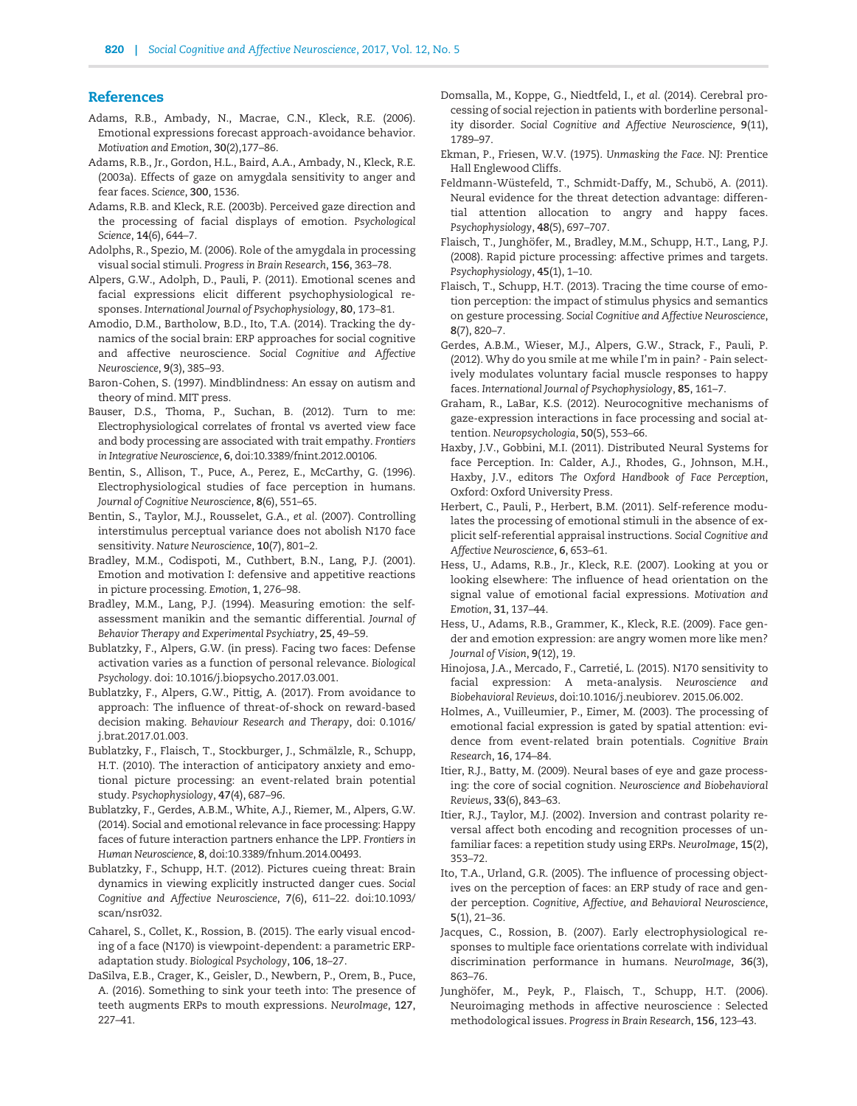## <span id="page-9-0"></span>**References**

- Adams, R.B., Ambady, N., Macrae, C.N., Kleck, R.E. (2006). Emotional expressions forecast approach-avoidance behavior. Motivation and Emotion, 30(2),177–86.
- Adams, R.B., Jr., Gordon, H.L., Baird, A.A., Ambady, N., Kleck, R.E. (2003a). Effects of gaze on amygdala sensitivity to anger and fear faces. Science, 300, 1536.
- Adams, R.B. and Kleck, R.E. (2003b). Perceived gaze direction and the processing of facial displays of emotion. Psychological Science, 14(6), 644–7.
- Adolphs, R., Spezio, M. (2006). Role of the amygdala in processing visual social stimuli. Progress in Brain Research, 156, 363–78.
- Alpers, G.W., Adolph, D., Pauli, P. (2011). Emotional scenes and facial expressions elicit different psychophysiological responses. International Journal of Psychophysiology, 80, 173–81.
- Amodio, D.M., Bartholow, B.D., Ito, T.A. (2014). Tracking the dynamics of the social brain: ERP approaches for social cognitive and affective neuroscience. Social Cognitive and Affective Neuroscience, 9(3), 385–93.
- Baron-Cohen, S. (1997). Mindblindness: An essay on autism and theory of mind. MIT press.
- Bauser, D.S., Thoma, P., Suchan, B. (2012). Turn to me: Electrophysiological correlates of frontal vs averted view face and body processing are associated with trait empathy. Frontiers in Integrative Neuroscience, 6, doi:10.3389/fnint.2012.00106.
- Bentin, S., Allison, T., Puce, A., Perez, E., McCarthy, G. (1996). Electrophysiological studies of face perception in humans. Journal of Cognitive Neuroscience, 8(6), 551–65.
- Bentin, S., Taylor, M.J., Rousselet, G.A., et al. (2007). Controlling interstimulus perceptual variance does not abolish N170 face sensitivity. Nature Neuroscience, 10(7), 801–2.
- Bradley, M.M., Codispoti, M., Cuthbert, B.N., Lang, P.J. (2001). Emotion and motivation I: defensive and appetitive reactions in picture processing. Emotion, 1, 276–98.
- Bradley, M.M., Lang, P.J. (1994). Measuring emotion: the selfassessment manikin and the semantic differential. Journal of Behavior Therapy and Experimental Psychiatry, 25, 49–59.
- Bublatzky, F., Alpers, G.W. (in press). Facing two faces: Defense activation varies as a function of personal relevance. Biological Psychology. doi: 10.1016/j.biopsycho.2017.03.001.
- Bublatzky, F., Alpers, G.W., Pittig, A. (2017). From avoidance to approach: The influence of threat-of-shock on reward-based decision making. Behaviour Research and Therapy, doi: 0.1016/ j.brat.2017.01.003.
- Bublatzky, F., Flaisch, T., Stockburger, J., Schmälzle, R., Schupp, H.T. (2010). The interaction of anticipatory anxiety and emotional picture processing: an event-related brain potential study. Psychophysiology, 47(4), 687–96.
- Bublatzky, F., Gerdes, A.B.M., White, A.J., Riemer, M., Alpers, G.W. (2014). Social and emotional relevance in face processing: Happy faces of future interaction partners enhance the LPP. Frontiers in Human Neuroscience, 8, doi:10.3389/fnhum.2014.00493.
- Bublatzky, F., Schupp, H.T. (2012). Pictures cueing threat: Brain dynamics in viewing explicitly instructed danger cues. Social Cognitive and Affective Neuroscience, 7(6), 611–22. doi:10.1093/ scan/nsr032.
- Caharel, S., Collet, K., Rossion, B. (2015). The early visual encoding of a face (N170) is viewpoint-dependent: a parametric ERPadaptation study. Biological Psychology, 106, 18–27.
- DaSilva, E.B., Crager, K., Geisler, D., Newbern, P., Orem, B., Puce, A. (2016). Something to sink your teeth into: The presence of teeth augments ERPs to mouth expressions. NeuroImage, 127, 227–41.
- Domsalla, M., Koppe, G., Niedtfeld, I., et al. (2014). Cerebral processing of social rejection in patients with borderline personality disorder. Social Cognitive and Affective Neuroscience, 9(11), 1789–97.
- Ekman, P., Friesen, W.V. (1975). Unmasking the Face. NJ: Prentice Hall Englewood Cliffs.
- Feldmann-Wüstefeld, T., Schmidt-Daffy, M., Schubö, A. (2011). Neural evidence for the threat detection advantage: differential attention allocation to angry and happy faces. Psychophysiology, 48(5), 697–707.
- Flaisch, T., Junghöfer, M., Bradley, M.M., Schupp, H.T., Lang, P.J. (2008). Rapid picture processing: affective primes and targets. Psychophysiology, 45(1), 1–10.
- Flaisch, T., Schupp, H.T. (2013). Tracing the time course of emotion perception: the impact of stimulus physics and semantics on gesture processing. Social Cognitive and Affective Neuroscience, 8(7), 820–7.
- Gerdes, A.B.M., Wieser, M.J., Alpers, G.W., Strack, F., Pauli, P. (2012). Why do you smile at me while I'm in pain? - Pain selectively modulates voluntary facial muscle responses to happy faces. International Journal of Psychophysiology, 85, 161–7.
- Graham, R., LaBar, K.S. (2012). Neurocognitive mechanisms of gaze-expression interactions in face processing and social attention. Neuropsychologia, 50(5), 553–66.
- Haxby, J.V., Gobbini, M.I. (2011). Distributed Neural Systems for face Perception. In: Calder, A.J., Rhodes, G., Johnson, M.H., Haxby, J.V., editors The Oxford Handbook of Face Perception, Oxford: Oxford University Press.
- Herbert, C., Pauli, P., Herbert, B.M. (2011). Self-reference modulates the processing of emotional stimuli in the absence of explicit self-referential appraisal instructions. Social Cognitive and Affective Neuroscience, 6, 653–61.
- Hess, U., Adams, R.B., Jr., Kleck, R.E. (2007). Looking at you or looking elsewhere: The influence of head orientation on the signal value of emotional facial expressions. Motivation and Emotion, 31, 137–44.
- Hess, U., Adams, R.B., Grammer, K., Kleck, R.E. (2009). Face gender and emotion expression: are angry women more like men? Journal of Vision, 9(12), 19.
- Hinojosa, J.A., Mercado, F., Carretié, L. (2015). N170 sensitivity to facial expression: A meta-analysis. Neuroscience and Biobehavioral Reviews, doi:10.1016/j.neubiorev. 2015.06.002.
- Holmes, A., Vuilleumier, P., Eimer, M. (2003). The processing of emotional facial expression is gated by spatial attention: evidence from event-related brain potentials. Cognitive Brain Research, 16, 174–84.
- Itier, R.J., Batty, M. (2009). Neural bases of eye and gaze processing: the core of social cognition. Neuroscience and Biobehavioral Reviews, 33(6), 843–63.
- Itier, R.J., Taylor, M.J. (2002). Inversion and contrast polarity reversal affect both encoding and recognition processes of unfamiliar faces: a repetition study using ERPs. NeuroImage, 15(2), 353–72.
- Ito, T.A., Urland, G.R. (2005). The influence of processing objectives on the perception of faces: an ERP study of race and gender perception. Cognitive, Affective, and Behavioral Neuroscience, 5(1), 21–36.
- Jacques, C., Rossion, B. (2007). Early electrophysiological responses to multiple face orientations correlate with individual discrimination performance in humans. NeuroImage, 36(3), 863–76.
- Junghöfer, M., Peyk, P., Flaisch, T., Schupp, H.T. (2006). Neuroimaging methods in affective neuroscience : Selected methodological issues. Progress in Brain Research, 156, 123–43.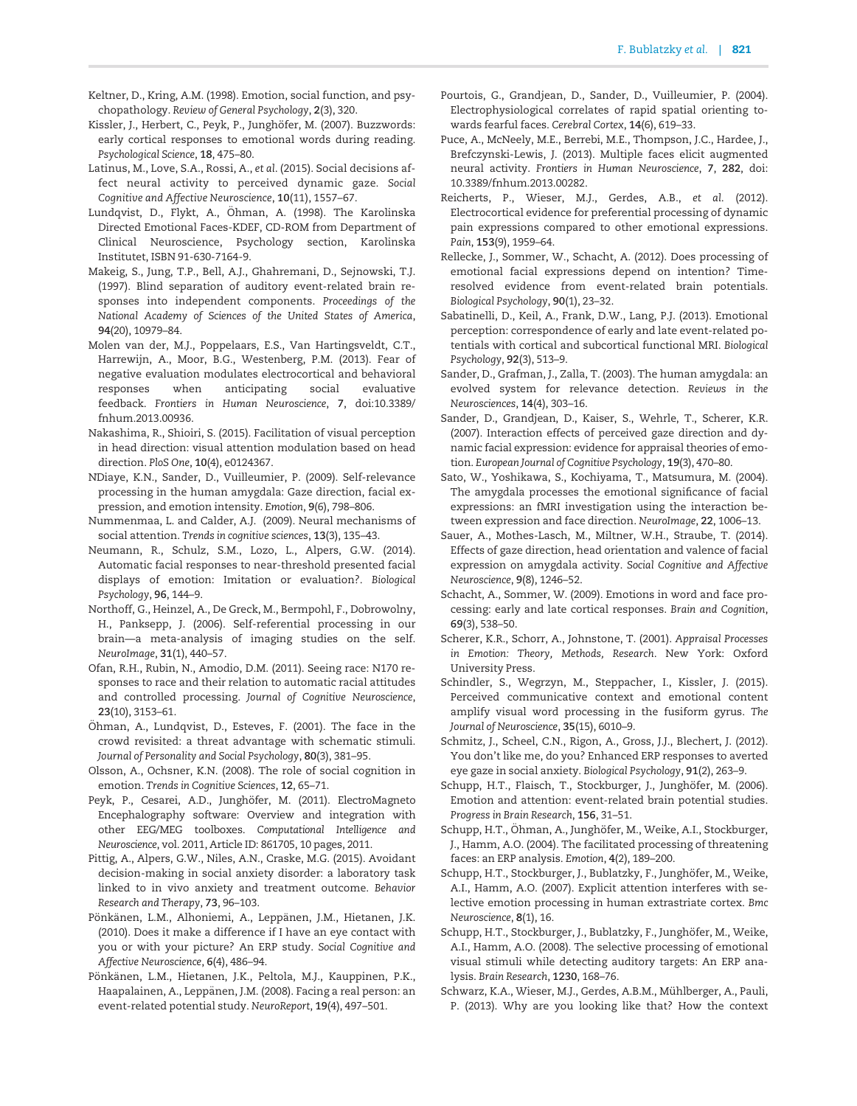- <span id="page-10-0"></span>Keltner, D., Kring, A.M. (1998). Emotion, social function, and psychopathology. Review of General Psychology, 2(3), 320.
- Kissler, J., Herbert, C., Peyk, P., Junghöfer, M. (2007). Buzzwords: early cortical responses to emotional words during reading. Psychological Science, 18, 475–80.
- Latinus, M., Love, S.A., Rossi, A., et al. (2015). Social decisions affect neural activity to perceived dynamic gaze. Social Cognitive and Affective Neuroscience, 10(11), 1557–67.
- Lundqvist, D., Flykt, A., Öhman, A. (1998). The Karolinska Directed Emotional Faces-KDEF, CD-ROM from Department of Clinical Neuroscience, Psychology section, Karolinska Institutet, ISBN 91-630-7164-9.
- Makeig, S., Jung, T.P., Bell, A.J., Ghahremani, D., Sejnowski, T.J. (1997). Blind separation of auditory event-related brain responses into independent components. Proceedings of the National Academy of Sciences of the United States of America, 94(20), 10979–84.
- Molen van der, M.J., Poppelaars, E.S., Van Hartingsveldt, C.T., Harrewijn, A., Moor, B.G., Westenberg, P.M. (2013). Fear of negative evaluation modulates electrocortical and behavioral responses when anticipating social evaluative feedback. Frontiers in Human Neuroscience, 7, doi:10.3389/ fnhum.2013.00936.
- Nakashima, R., Shioiri, S. (2015). Facilitation of visual perception in head direction: visual attention modulation based on head direction. PloS One, 10(4), e0124367.
- NDiaye, K.N., Sander, D., Vuilleumier, P. (2009). Self-relevance processing in the human amygdala: Gaze direction, facial expression, and emotion intensity. Emotion, 9(6), 798–806.
- Nummenmaa, L. and Calder, A.J. (2009). Neural mechanisms of social attention. Trends in cognitive sciences, 13(3), 135–43.
- Neumann, R., Schulz, S.M., Lozo, L., Alpers, G.W. (2014). Automatic facial responses to near-threshold presented facial displays of emotion: Imitation or evaluation?. Biological Psychology, 96, 144–9.
- Northoff, G., Heinzel, A., De Greck, M., Bermpohl, F., Dobrowolny, H., Panksepp, J. (2006). Self-referential processing in our brain—a meta-analysis of imaging studies on the self. NeuroImage, 31(1), 440–57.
- Ofan, R.H., Rubin, N., Amodio, D.M. (2011). Seeing race: N170 responses to race and their relation to automatic racial attitudes and controlled processing. Journal of Cognitive Neuroscience, 23(10), 3153–61.
- Öhman, A., Lundqvist, D., Esteves, F. (2001). The face in the crowd revisited: a threat advantage with schematic stimuli. Journal of Personality and Social Psychology, 80(3), 381–95.
- Olsson, A., Ochsner, K.N. (2008). The role of social cognition in emotion. Trends in Cognitive Sciences, 12, 65–71.
- Peyk, P., Cesarei, A.D., Junghöfer, M. (2011). ElectroMagneto Encephalography software: Overview and integration with other EEG/MEG toolboxes. Computational Intelligence and Neuroscience, vol. 2011, Article ID: 861705, 10 pages, 2011.
- Pittig, A., Alpers, G.W., Niles, A.N., Craske, M.G. (2015). Avoidant decision-making in social anxiety disorder: a laboratory task linked to in vivo anxiety and treatment outcome. Behavior Research and Therapy, 73, 96–103.
- Pönkänen, L.M., Alhoniemi, A., Leppänen, J.M., Hietanen, J.K. (2010). Does it make a difference if I have an eye contact with you or with your picture? An ERP study. Social Cognitive and Affective Neuroscience, 6(4), 486–94.
- Pönkänen, L.M., Hietanen, J.K., Peltola, M.J., Kauppinen, P.K., Haapalainen, A., Leppänen, J.M. (2008). Facing a real person: an event-related potential study. NeuroReport, 19(4), 497–501.
- Pourtois, G., Grandjean, D., Sander, D., Vuilleumier, P. (2004). Electrophysiological correlates of rapid spatial orienting towards fearful faces. Cerebral Cortex, 14(6), 619–33.
- Puce, A., McNeely, M.E., Berrebi, M.E., Thompson, J.C., Hardee, J., Brefczynski-Lewis, J. (2013). Multiple faces elicit augmented neural activity. Frontiers in Human Neuroscience, 7, 282, doi: 10.3389/fnhum.2013.00282.
- Reicherts, P., Wieser, M.J., Gerdes, A.B., et al. (2012). Electrocortical evidence for preferential processing of dynamic pain expressions compared to other emotional expressions. Pain, 153(9), 1959–64.
- Rellecke, J., Sommer, W., Schacht, A. (2012). Does processing of emotional facial expressions depend on intention? Timeresolved evidence from event-related brain potentials. Biological Psychology, 90(1), 23–32.
- Sabatinelli, D., Keil, A., Frank, D.W., Lang, P.J. (2013). Emotional perception: correspondence of early and late event-related potentials with cortical and subcortical functional MRI. Biological Psychology, 92(3), 513–9.
- Sander, D., Grafman, J., Zalla, T. (2003). The human amygdala: an evolved system for relevance detection. Reviews in the Neurosciences, 14(4), 303–16.
- Sander, D., Grandjean, D., Kaiser, S., Wehrle, T., Scherer, K.R. (2007). Interaction effects of perceived gaze direction and dynamic facial expression: evidence for appraisal theories of emotion. European Journal of Cognitive Psychology, 19(3), 470–80.
- Sato, W., Yoshikawa, S., Kochiyama, T., Matsumura, M. (2004). The amygdala processes the emotional significance of facial expressions: an fMRI investigation using the interaction between expression and face direction. NeuroImage, 22, 1006–13.
- Sauer, A., Mothes-Lasch, M., Miltner, W.H., Straube, T. (2014). Effects of gaze direction, head orientation and valence of facial expression on amygdala activity. Social Cognitive and Affective Neuroscience, 9(8), 1246–52.
- Schacht, A., Sommer, W. (2009). Emotions in word and face processing: early and late cortical responses. Brain and Cognition, 69(3), 538–50.
- Scherer, K.R., Schorr, A., Johnstone, T. (2001). Appraisal Processes in Emotion: Theory, Methods, Research. New York: Oxford University Press.
- Schindler, S., Wegrzyn, M., Steppacher, I., Kissler, J. (2015). Perceived communicative context and emotional content amplify visual word processing in the fusiform gyrus. The Journal of Neuroscience, 35(15), 6010–9.
- Schmitz, J., Scheel, C.N., Rigon, A., Gross, J.J., Blechert, J. (2012). You don't like me, do you? Enhanced ERP responses to averted eye gaze in social anxiety. Biological Psychology, 91(2), 263–9.
- Schupp, H.T., Flaisch, T., Stockburger, J., Junghöfer, M. (2006). Emotion and attention: event-related brain potential studies. Progress in Brain Research, 156, 31–51.
- Schupp, H.T., Öhman, A., Junghöfer, M., Weike, A.I., Stockburger, J., Hamm, A.O. (2004). The facilitated processing of threatening faces: an ERP analysis. Emotion, 4(2), 189–200.
- Schupp, H.T., Stockburger, J., Bublatzky, F., Junghöfer, M., Weike, A.I., Hamm, A.O. (2007). Explicit attention interferes with selective emotion processing in human extrastriate cortex. Bmc Neuroscience, 8(1), 16.
- Schupp, H.T., Stockburger, J., Bublatzky, F., Junghöfer, M., Weike, A.I., Hamm, A.O. (2008). The selective processing of emotional visual stimuli while detecting auditory targets: An ERP analysis. Brain Research, 1230, 168–76.
- Schwarz, K.A., Wieser, M.J., Gerdes, A.B.M., Mühlberger, A., Pauli, P. (2013). Why are you looking like that? How the context